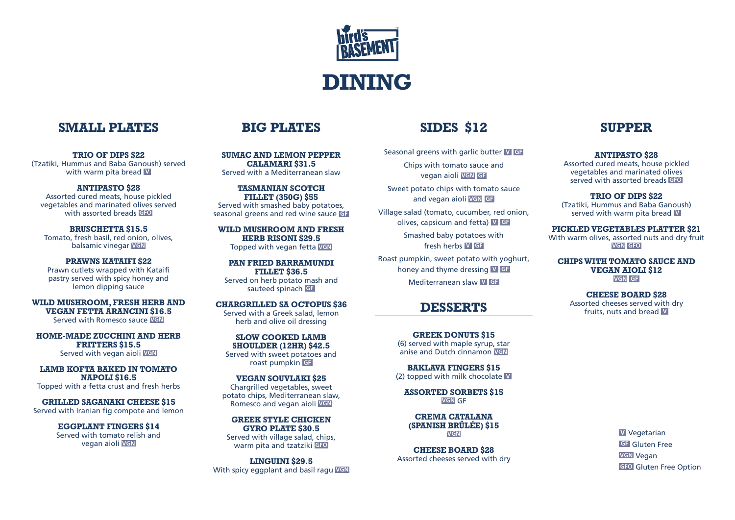

# **SIDES \$12**

Seasonal greens with garlic butter **V GF** Chips with tomato sauce and vegan aioli **VGN GF**

Sweet potato chips with tomato sauce and vegan aioli **VGN GF**

Village salad (tomato, cucumber, red onion, olives, capsicum and fetta) **V GF**

> Smashed baby potatoes with fresh herbs **V GF**

Roast pumpkin, sweet potato with yoghurt, honey and thyme dressing **V GF** Mediterranean slaw **V GF**

# **DESSERTS**

**GREEK DONUTS \$15** (6) served with maple syrup, star anise and Dutch cinnamon **VGN**

**BAKLAVA FINGERS \$15** (2) topped with milk chocolate **V**

**ASSORTED SORBETS \$15 VGN** GF

**CREMA CATALANA (SPANISH BRÛLÉE) \$15 VGN**

**CHEESE BOARD \$28** Assorted cheeses served with dry

# **SUPPER**

**ANTIPASTO \$28**

Assorted cured meats, house pickled vegetables and marinated olives served with assorted breads **GFO**

**TRIO OF DIPS \$22** (Tzatiki, Hummus and Baba Ganoush) served with warm pita bread **V**

#### **PICKLED VEGETABLES PLATTER \$21**

With warm olives, assorted nuts and dry fruit **VGN GFO**

**CHIPS WITH TOMATO SAUCE AND VEGAN AIOLI \$12 VGN GF**

> **CHEESE BOARD \$28** Assorted cheeses served with dry fruits, nuts and bread **V**

> > **V** Vegetarian **GF** Gluten Free **VGN** Vegan **GFO** Gluten Free Option

# **BIG PLATES**

**SUMAC AND LEMON PEPPER CALAMARI \$31.5** Served with a Mediterranean slaw

**TASMANIAN SCOTCH FILLET (350G) \$55** Served with smashed baby potatoes, seasonal greens and red wine sauce **GF**

**WILD MUSHROOM AND FRESH HERB RISONI \$29.5** Topped with vegan fetta **VGN**

**PAN FRIED BARRAMUNDI FILLET \$36.5** Served on herb potato mash and sauteed spinach **GF**

**CHARGRILLED SA OCTOPUS \$36** Served with a Greek salad, lemon herb and olive oil dressing

**SLOW COOKED LAMB SHOULDER (12HR) \$42.5** Served with sweet potatoes and roast pumpkin **GF**

**VEGAN SOUVLAKI \$25** Chargrilled vegetables, sweet potato chips, Mediterranean slaw, Romesco and vegan aioli **VGN**

**GREEK STYLE CHICKEN GYRO PLATE \$30.5** Served with village salad, chips, warm pita and tzatziki **GFO**

**LINGUINI \$29.5** With spicy eggplant and basil ragu **VGN**

# **SMALL PLATES**

**TRIO OF DIPS \$22** (Tzatiki, Hummus and Baba Ganoush) served with warm pita bread **V**

**ANTIPASTO \$28** Assorted cured meats, house pickled vegetables and marinated olives served with assorted breads **GFO**

**BRUSCHETTA \$15.5** Tomato, fresh basil, red onion, olives, balsamic vinegar **VGN**

**PRAWNS KATAIFI \$22** Prawn cutlets wrapped with Kataifi pastry served with spicy honey and lemon dipping sauce

**WILD MUSHROOM, FRESH HERB AND VEGAN FETTA ARANCINI \$16.5** Served with Romesco sauce **VGN**

**HOME-MADE ZUCCHINI AND HERB FRITTERS \$15.5** Served with vegan aioli **VGN**

**LAMB KOFTA BAKED IN TOMATO NAPOLI \$16.5** Topped with a fetta crust and fresh herbs

**GRILLED SAGANAKI CHEESE \$15** Served with Iranian fig compote and lemon

> **EGGPLANT FINGERS \$14** Served with tomato relish and vegan aioli **VGN**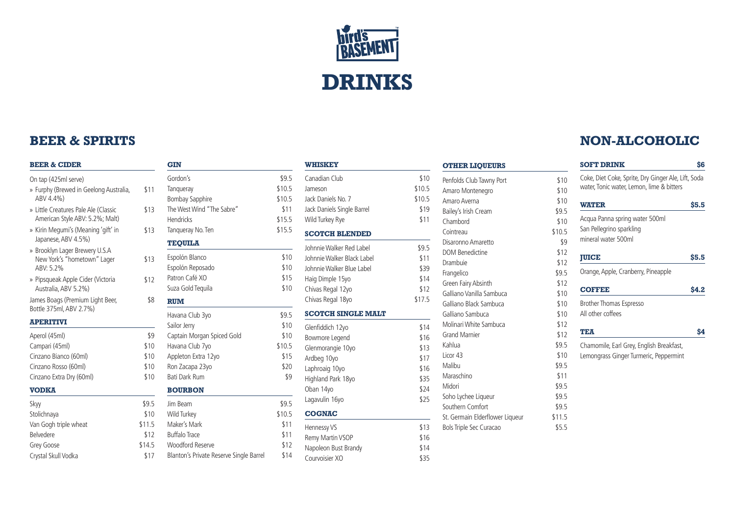

# **BEER & SPIRITS**

#### **BEER & CIDER**

On tap (425ml serve)

- » Furphy (Brewed in Geelong Australia, \$11 ABV 4.4%)
- » Little Creatures Pale Ale (Classic American Style ABV: 5.2%; Malt)
- » Kirin Megumi's (Meaning 'gift' in Japanese, ABV 4.5%)
- » Brooklyn Lager Brewery U.S.A New York's "hometown" Lager ABV: 5.2%
- » Pipsqueak Apple Cider (Victoria Australia, ABV 5.2%)

James Boags (Premium Light Beer, Bottle 375ml, ABV 2.7%)

#### **APERITIVI**

Aperol (45ml) \$9 Campari (45ml) \$ Cinzano Bianco (60ml) \$ Cinzano Rosso (60ml) \$ Cinzano Extra Dry (60ml) \$

#### **VODKA**

Skyy \$9.5 Stolichnaya **\$** Van Gogh triple wheat  $$1$ Belvedere \$ Grey Goose \$14 Crystal Skull Vodka<br>
\$17

|        | <b>GIN</b>                              |        |
|--------|-----------------------------------------|--------|
|        | Gordon's                                | \$9.5  |
| \$11   | Tangueray                               | \$10.5 |
|        | <b>Bombay Sapphire</b>                  | \$10.5 |
| \$13   | The West Wind "The Sabre"               | \$11   |
|        | <b>Hendricks</b>                        | \$15.5 |
| \$13   | Tangueray No. Ten                       | \$15.5 |
|        | <b>TEOUILA</b>                          |        |
| \$13   | Espolón Blanco                          | \$10   |
|        | Espolón Reposado                        | \$10   |
| \$12   | Patron Café XO                          | \$15   |
|        | Suza Gold Tequila                       | \$10   |
| \$8    | <b>RUM</b>                              |        |
|        | Havana Club 3yo                         | \$9.5  |
|        | Sailor Jerry                            | \$10   |
| \$9    | Captain Morgan Spiced Gold              | \$10   |
| \$10   | Havana Club 7yo                         | \$10.5 |
| \$10   | Appleton Extra 12yo                     | \$15   |
| \$10   | Ron Zacapa 23yo                         | \$20   |
| \$10   | <b>Bati Dark Rum</b>                    | \$9    |
|        | <b>BOURBON</b>                          |        |
| \$9.5  | Jim Beam                                | \$9.5  |
| \$10   | Wild Turkey                             | \$10.5 |
| \$11.5 | Maker's Mark                            | \$11   |
| \$12   | <b>Buffalo Trace</b>                    | \$11   |
| \$14.5 | <b>Woodford Reserve</b>                 | \$12   |
| \$17   | Blanton's Private Reserve Single Barrel | \$14   |

|        | WHISKEY                    |        |
|--------|----------------------------|--------|
| \$9.5  | Canadian Club              | \$10   |
| \$10.5 | Jameson                    | \$10.5 |
| \$10.5 | Jack Daniels No. 7         | \$10.5 |
| \$11   | Jack Daniels Single Barrel | \$19   |
| \$15.5 | Wild Turkey Rye            | \$11   |
| \$15.5 | <b>SCOTCH BLENDED</b>      |        |
|        | Johnnie Walker Red Label   | \$9.5  |
| \$10   | Johnnie Walker Black Label | \$11   |
| \$10   | Johnnie Walker Blue Label  | \$39   |
| \$15   | Haig Dimple 15yo           | \$14   |
| \$10   | Chivas Regal 12yo          | \$12   |
|        | Chivas Regal 18yo          | \$17.5 |
| \$9.5  | <b>SCOTCH SINGLE MALT</b>  |        |
| \$10   | Glenfiddich 12yo           | \$14   |
| \$10   | Bowmore Legend             | \$16   |
| \$10.5 | Glenmorangie 10yo          | \$13   |
| \$15   | Ardbeg 10yo                | \$17   |
| \$20   | Laphroaig 10yo             | \$16   |
| \$9    | Highland Park 18yo         | \$35   |
|        | Oban 14yo                  | \$24   |
| \$9.5  | Lagavulin 16yo             | \$25   |
| \$10.5 | <b>COGNAC</b>              |        |
| \$11   | Hennessy VS                | \$13   |
| \$11   | Remy Martin VSOP           | \$16   |
| \$12   | Napoleon Bust Brandy       | \$14   |
| \$14   | Courvoisier XO             | \$35   |
|        |                            |        |

| Penfolds Club Tawny Port        | \$10   |
|---------------------------------|--------|
| Amaro Montenegro                | \$10   |
| Amaro Averna                    | \$10   |
| Bailey's Irish Cream            | \$9.5  |
| Chambord                        | \$10   |
| Cointreau                       | \$10.5 |
| Disaronno Amaretto              | \$9    |
| <b>DOM Benedictine</b>          | \$12   |
| Drambuie                        | \$12   |
| Frangelico                      | \$9.5  |
| Green Fairy Absinth             | \$12   |
| Galliano Vanilla Sambuca        | \$10   |
| Galliano Black Sambuca          | \$10   |
| Galliano Sambuca                | \$10   |
| Molinari White Sambuca          | \$12   |
| <b>Grand Marnier</b>            | \$12   |
| Kahlua                          | \$9.5  |
| Licor 43                        | \$10   |
| Malibu                          | \$9.5  |
| Maraschino                      | \$11   |
| Midori                          | \$9.5  |
| Soho Lychee Liqueur             | \$9.5  |
| Southern Comfort                | \$9.5  |
| St. Germain Elderflower Liqueur | \$11.5 |
| Bols Triple Sec Curacao         | \$5.5  |
|                                 |        |
|                                 |        |

# **NON-ALCOHOLIC**

| Coke, Diet Coke, Sprite, Dry Ginger Ale, Lift, Soda | \$6   |
|-----------------------------------------------------|-------|
| water, Tonic water, Lemon, lime & bitters           |       |
| <b>WATER</b>                                        | \$5.5 |
| Acqua Panna spring water 500ml                      |       |
| San Pellegrino sparkling                            |       |
| mineral water 500ml                                 |       |
| <b>JUICE</b>                                        | \$5.5 |
| Orange, Apple, Cranberry, Pineapple                 |       |
| <b>COFFEE</b>                                       | \$4.2 |
| Brother Thomas Espresso                             |       |
| All other coffees                                   |       |
| <b>TEA</b>                                          | \$4   |
| Chamomile, Earl Grey, English Breakfast,            |       |
| Lemongrass Ginger Turmeric, Peppermint              |       |
|                                                     |       |
|                                                     |       |
|                                                     |       |
|                                                     |       |
|                                                     |       |
|                                                     |       |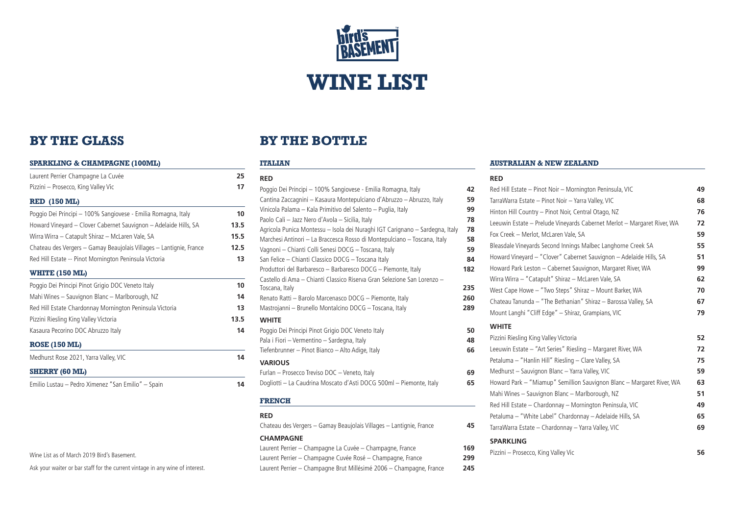

# **BY THE GLASS**

| <b>SPARKLING &amp; CHAMPAGNE (100ML)</b>                            |      |  |
|---------------------------------------------------------------------|------|--|
| Laurent Perrier Champagne La Cuvée                                  | 25   |  |
| Pizzini - Prosecco, King Valley Vic                                 | 17   |  |
| <b>RED (150 ML)</b>                                                 |      |  |
| Poggio Dei Principi - 100% Sangiovese - Emilia Romagna, Italy       | 10   |  |
| Howard Vineyard - Clover Cabernet Sauvignon - Adelaide Hills, SA    | 13.5 |  |
| Wirra Wirra – Catapult Shiraz – McLaren Vale, SA                    | 15.5 |  |
| Chateau des Vergers - Gamay Beaujolais Villages - Lantignie, France | 12.5 |  |
| Red Hill Estate -- Pinot Mornington Peninsula Victoria              | 13   |  |
| <b>WHITE (150 ML)</b>                                               |      |  |
| Poggio Dei Principi Pinot Grigio DOC Veneto Italy                   | 10   |  |
| Mahi Wines – Sauvignon Blanc – Marlborough, NZ                      | 14   |  |

Red Hill Estate Chardonnay Mornington Peninsula Victoria **13** Pizzini Riesling King Valley Victoria **13.5**

| Kasaura Pecorino DOC Abruzzo Italy | 14 |
|------------------------------------|----|
| <b>ROSE (150 ML)</b>               |    |

Medhurst Rose 2021, Yarra Valley, VIC **14**

**SHERRY (60 ML)**

Emilio Lustau – Pedro Ximenez "San Emilio" – Spain **14**

| Wine List as of March 2019 Bird's Basement. |  |
|---------------------------------------------|--|
|---------------------------------------------|--|

Ask your waiter or bar staff for the current vintage in any wine of interest.

# **BY THE BOTTLE**

#### **ITALIAN**

| <b>RED</b>                                                                   |     |
|------------------------------------------------------------------------------|-----|
| Poggio Dei Principi - 100% Sangiovese - Emilia Romagna, Italy                | 42  |
| Cantina Zaccagnini - Kasaura Montepulciano d'Abruzzo - Abruzzo, Italy        | 59  |
| Vinicola Palama - Kala Primitivo del Salento - Puglia, Italy                 | 99  |
| Paolo Cali - Jazz Nero d'Avola - Sicilia, Italy                              | 78  |
| Agricola Punica Montessu - Isola dei Nuraghi IGT Carignano - Sardegna, Italy | 78  |
| Marchesi Antinori – La Braccesca Rosso di Montepulciano – Toscana, Italy     | 58  |
| Vagnoni - Chianti Colli Senesi DOCG - Toscana, Italy                         | 59  |
| San Felice - Chianti Classico DOCG - Toscana Italy                           | 84  |
| Produttori del Barbaresco - Barbaresco DOCG - Piemonte, Italy                | 182 |
| Castello di Ama – Chianti Classico Riserva Gran Selezione San Lorenzo –      |     |
| Toscana, Italy                                                               | 235 |
| Renato Ratti – Barolo Marcenasco DOCG – Piemonte, Italy                      | 260 |
| Mastrojanni - Brunello Montalcino DOCG - Toscana, Italy                      | 289 |
| <b>WHITE</b>                                                                 |     |
| Poggio Dei Principi Pinot Grigio DOC Veneto Italy                            | 50  |
| Pala i Fiori - Vermentino - Sardegna, Italy                                  | 48  |
| Tiefenbrunner - Pinot Bianco - Alto Adige, Italy                             | 66  |
| <b>VARIOUS</b>                                                               |     |
| Furlan - Prosecco Treviso DOC - Veneto, Italy                                | 69  |
| Dogliotti - La Caudrina Moscato d'Asti DOCG 500ml - Piemonte, Italy          | 65  |
|                                                                              |     |
|                                                                              |     |

# **FRENCH**

**RED** Chateau des Vergers – Gamay Beaujolais Villages – Lantignie, France **45**

#### **CHAMPAGNE**

Laurent Perrier – Champagne La Cuvée – Champagne, France **169** Laurent Perrier – Champagne Cuvée Rosé – Champagne, France **299** Laurent Perrier – Champagne Brut Millésimé 2006 – Champagne, France **245**

#### **AUSTRALIAN & NEW ZEALAND**

#### **RED**

|    | Red Hill Estate - Pinot Noir - Mornington Peninsula, VIC                | 49 |
|----|-------------------------------------------------------------------------|----|
|    | TarraWarra Estate - Pinot Noir - Yarra Valley, VIC                      | 68 |
|    | Hinton Hill Country - Pinot Noir, Central Otago, NZ                     | 76 |
|    | Leeuwin Estate - Prelude Vineyards Cabernet Merlot - Margaret River, WA | 72 |
|    | Fox Creek - Merlot, McLaren Vale, SA                                    | 59 |
|    | Bleasdale Vineyards Second Innings Malbec Langhorne Creek SA            | 55 |
|    | Howard Vineyard - "Clover" Cabernet Sauvignon - Adelaide Hills, SA      | 51 |
|    | Howard Park Leston - Cabernet Sauvignon, Margaret River, WA             | 99 |
|    | Wirra Wirra - "Catapult" Shiraz - McLaren Vale, SA                      | 62 |
|    | West Cape Howe - "Two Steps" Shiraz - Mount Barker, WA                  | 70 |
|    | Chateau Tanunda - "The Bethanian" Shiraz - Barossa Valley, SA           | 67 |
|    | Mount Langhi "Cliff Edge" - Shiraz, Grampians, VIC                      | 79 |
|    | <b>WHITE</b>                                                            |    |
|    | Pizzini Riesling King Valley Victoria                                   | 52 |
|    | Leeuwin Estate - "Art Series" Riesling - Margaret River, WA             | 72 |
|    | Petaluma - "Hanlin Hill" Riesling - Clare Valley, SA                    | 75 |
|    | Medhurst - Sauvignon Blanc - Yarra Valley, VIC                          | 59 |
|    | Howard Park - "Miamup" Semillion Sauvignon Blanc - Margaret River, WA   | 63 |
|    | Mahi Wines - Sauvignon Blanc - Marlborough, NZ                          | 51 |
| į. | Red Hill Estate - Chardonnay - Mornington Peninsula, VIC                | 49 |
|    | Petaluma - "White Label" Chardonnay - Adelaide Hills, SA                | 65 |
|    | TarraWarra Estate - Chardonnay - Yarra Valley, VIC                      | 69 |
|    | <b>SPARKLING</b>                                                        |    |
|    | Pizzini - Prosecco, King Valley Vic                                     | 56 |
|    |                                                                         |    |